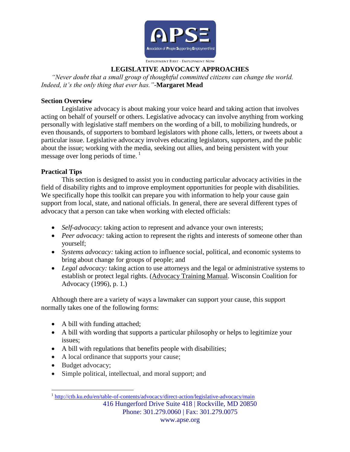

## **LEGISLATIVE ADVOCACY APPROACHES**

*"Never doubt that a small group of thoughtful committed citizens can change the world. Indeed, it's the only thing that ever has."-***Margaret Mead**

### **Section Overview**

Legislative advocacy is about making your voice heard and taking action that involves acting on behalf of yourself or others. Legislative advocacy can involve anything from working personally with legislative staff members on the wording of a bill, to mobilizing hundreds, or even thousands, of supporters to bombard legislators with phone calls, letters, or tweets about a particular issue. Legislative advocacy involves educating legislators, supporters, and the public about the issue; working with the media, seeking out allies, and being persistent with your message over long periods of time.<sup>1</sup>

## **Practical Tips**

This section is designed to assist you in conducting particular advocacy activities in the field of disability rights and to improve employment opportunities for people with disabilities. We specifically hope this toolkit can prepare you with information to help your cause gain support from local, state, and national officials. In general, there are several different types of advocacy that a person can take when working with elected officials:

- *Self-advocacy*: taking action to represent and advance your own interests;
- *Peer advocacy:* taking action to represent the rights and interests of someone other than yourself;
- *Systems advocacy:* taking action to influence social, political, and economic systems to bring about change for groups of people; and
- Legal advocacy: taking action to use attorneys and the legal or administrative systems to establish or protect legal rights. (Advocacy Training Manual. Wisconsin Coalition for Advocacy (1996), p. 1.)

Although there are a variety of ways a lawmaker can support your cause, this support normally takes one of the following forms:

- A bill with funding attached;
- A bill with wording that supports a particular philosophy or helps to legitimize your issues;
- A bill with regulations that benefits people with disabilities;
- A local ordinance that supports your cause;
- Budget advocacy;

 $\overline{a}$ 

Simple political, intellectual, and moral support; and

<sup>416</sup> Hungerford Drive Suite 418 | Rockville, MD 20850 Phone: 301.279.0060 | Fax: 301.279.0075 <sup>1</sup> <http://ctb.ku.edu/en/table-of-contents/advocacy/direct-action/legislative-advocacy/main>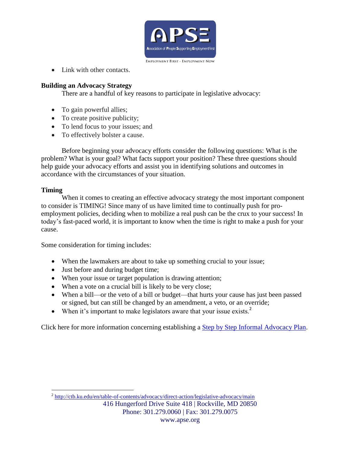

• Link with other contacts.

# **Building an Advocacy Strategy**

There are a handful of key reasons to participate in legislative advocacy:

- To gain powerful allies;
- To create positive publicity;
- To lend focus to your issues; and
- To effectively bolster a cause.

Before beginning your advocacy efforts consider the following questions: What is the problem? What is your goal? What facts support your position? These three questions should help guide your advocacy efforts and assist you in identifying solutions and outcomes in accordance with the circumstances of your situation.

## **Timing**

When it comes to creating an effective advocacy strategy the most important component to consider is TIMING! Since many of us have limited time to continually push for proemployment policies, deciding when to mobilize a real push can be the crux to your success! In today's fast-paced world, it is important to know when the time is right to make a push for your cause.

Some consideration for timing includes:

- When the lawmakers are about to take up something crucial to your issue;
- Just before and during budget time;
- When your issue or target population is drawing attention;
- When a vote on a crucial bill is likely to be very close;
- When a bill—or the veto of a bill or budget—that hurts your cause has just been passed or signed, but can still be changed by an amendment, a veto, or an override;
- When it's important to make legislators aware that your issue exists.<sup>2</sup>

Click here for more information concerning establishing a **Step by Step Informal Advocacy Plan**.

416 Hungerford Drive Suite 418 | Rockville, MD 20850 Phone: 301.279.0060 | Fax: 301.279.0075 www.apse.org  $\overline{a}$ <sup>2</sup> <http://ctb.ku.edu/en/table-of-contents/advocacy/direct-action/legislative-advocacy/main>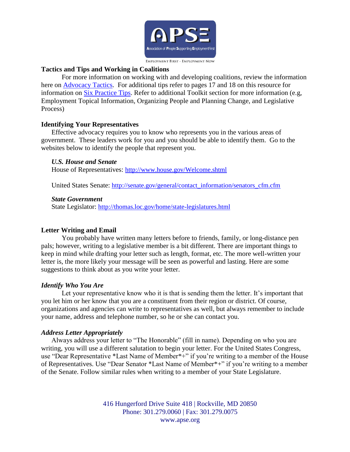

## **Tactics and Tips and Working in Coalitions**

For more information on working with and developing coalitions, review the information here on [Advocacy Tactics.](http://www.clpi.org/nuts-a-bolts/advocacy-tactics) For additional tips refer to pages 17 and 18 on this resource for information on [Six Practice Tips.](http://www.mtnonprofit.org/uploadedFiles/Files/Org-Dev/Principles_and_Practices/MNA_Sample_Docs/MNA-Communications-Toolkit.pdf) Refer to additional Toolkit section for more information (e.g, Employment Topical Information, Organizing People and Planning Change, and Legislative Process)

#### **Identifying Your Representatives**

Effective advocacy requires you to know who represents you in the various areas of government. These leaders work for you and you should be able to identify them. Go to the websites below to identify the people that represent you.

#### *U.S. House and Senate*

House of Representatives: <http://www.house.gov/Welcome.shtml>

United States Senate: [http://senate.gov/general/contact\\_information/senators\\_cfm.cfm](http://senate.gov/general/contact_information/senators_cfm.cfm) 

#### *State Government*

State Legislator: <http://thomas.loc.gov/home/state-legislatures.html>

### **Letter Writing and Email**

You probably have written many letters before to friends, family, or long-distance pen pals; however, writing to a legislative member is a bit different. There are important things to keep in mind while drafting your letter such as length, format, etc. The more well-written your letter is, the more likely your message will be seen as powerful and lasting. Here are some suggestions to think about as you write your letter.

### *Identify Who You Are*

Let your representative know who it is that is sending them the letter. It's important that you let him or her know that you are a constituent from their region or district. Of course, organizations and agencies can write to representatives as well, but always remember to include your name, address and telephone number, so he or she can contact you.

### *Address Letter Appropriately*

Always address your letter to "The Honorable" (fill in name). Depending on who you are writing, you will use a different salutation to begin your letter. For the United States Congress, use "Dear Representative \*Last Name of Member\*+" if you're writing to a member of the House of Representatives. Use "Dear Senator \*Last Name of Member\*+" if you're writing to a member of the Senate. Follow similar rules when writing to a member of your State Legislature.

> 416 Hungerford Drive Suite 418 | Rockville, MD 20850 Phone: 301.279.0060 | Fax: 301.279.0075 www.apse.org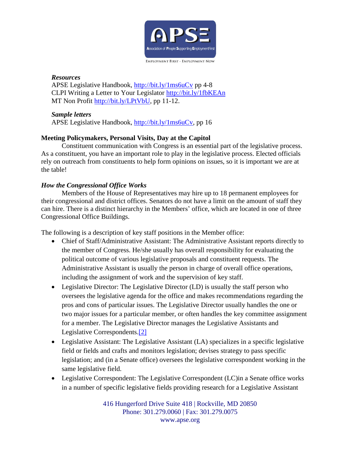

### *Resources*

APSE Legislative Handbook,<http://bit.ly/1ms6uCv> pp 4-8 CLPI Writing a Letter to Your Legislator<http://bit.ly/1fbKEAn> MT Non Profit [http://bit.ly/LPtVbU,](http://bit.ly/LPtVbU) pp 11-12.

### *Sample letters*

APSE Legislative Handbook, [http://bit.ly/1ms6uCv,](http://bit.ly/1ms6uCv) pp 16

# **Meeting Policymakers, Personal Visits, Day at the Capitol**

Constituent communication with Congress is an essential part of the legislative process. As a constituent, you have an important role to play in the legislative process. Elected officials rely on outreach from constituents to help form opinions on issues, so it is important we are at the table!

# *How the Congressional Office Works*

Members of the House of Representatives may hire up to 18 permanent employees for their congressional and district offices. Senators do not have a limit on the amount of staff they can hire. There is a distinct hierarchy in the Members' office, which are located in one of three Congressional Office Buildings.

The following is a description of key staff positions in the Member office:

- Chief of Staff/Administrative Assistant: The Administrative Assistant reports directly to the member of Congress. He/she usually has overall responsibility for evaluating the political outcome of various legislative proposals and constituent requests. The Administrative Assistant is usually the person in charge of overall office operations, including the assignment of work and the supervision of key staff.
- Legislative Director: The Legislative Director (LD) is usually the staff person who oversees the legislative agenda for the office and makes recommendations regarding the pros and cons of particular issues. The Legislative Director usually handles the one or two major issues for a particular member, or often handles the key committee assignment for a member. The Legislative Director manages the Legislative Assistants and Legislative Correspondents[.\[2\]](http://www.congress.org/congressorg/issues/basics/?style=staff)
- Legislative Assistant: The Legislative Assistant (LA) specializes in a specific legislative field or fields and crafts and monitors legislation; devises strategy to pass specific legislation; and (in a Senate office) oversees the legislative correspondent working in the same legislative field.
- Legislative Correspondent: The Legislative Correspondent (LC) in a Senate office works in a number of specific legislative fields providing research for a Legislative Assistant

416 Hungerford Drive Suite 418 | Rockville, MD 20850 Phone: 301.279.0060 | Fax: 301.279.0075 www.apse.org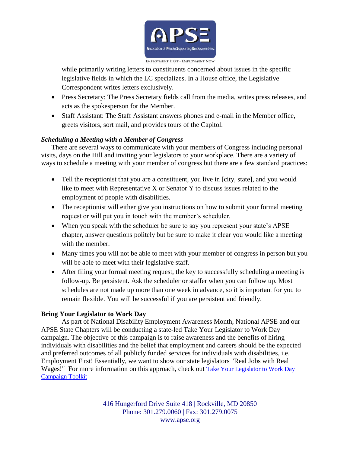

while primarily writing letters to constituents concerned about issues in the specific legislative fields in which the LC specializes. In a House office, the Legislative Correspondent writes letters exclusively.

- Press Secretary: The Press Secretary fields call from the media, writes press releases, and acts as the spokesperson for the Member.
- Staff Assistant: The Staff Assistant answers phones and e-mail in the Member office, greets visitors, sort mail, and provides tours of the Capitol.

# *Scheduling a Meeting with a Member of Congress*

There are several ways to communicate with your members of Congress including personal visits, days on the Hill and inviting your legislators to your workplace. There are a variety of ways to schedule a meeting with your member of congress but there are a few standard practices:

- Tell the receptionist that you are a constituent, you live in [city, state], and you would like to meet with Representative X or Senator Y to discuss issues related to the employment of people with disabilities.
- The receptionist will either give you instructions on how to submit your formal meeting request or will put you in touch with the member's scheduler.
- When you speak with the scheduler be sure to say you represent your state's APSE chapter, answer questions politely but be sure to make it clear you would like a meeting with the member.
- Many times you will not be able to meet with your member of congress in person but you will be able to meet with their legislative staff.
- After filing your formal meeting request, the key to successfully scheduling a meeting is follow-up. Be persistent. Ask the scheduler or staffer when you can follow up. Most schedules are not made up more than one week in advance, so it is important for you to remain flexible. You will be successful if you are persistent and friendly.

## **Bring Your Legislator to Work Day**

As part of National Disability Employment Awareness Month, National APSE and our APSE State Chapters will be conducting a state-led Take Your Legislator to Work Day campaign. The objective of this campaign is to raise awareness and the benefits of hiring individuals with disabilities and the belief that employment and careers should be the expected and preferred outcomes of all publicly funded services for individuals with disabilities, i.e. Employment First! Essentially, we want to show our state legislators "Real Jobs with Real Wages!" For more information on this approach, check out [Take Your Legislator to Work Day](http://www.apse.org/docs/2013%20Take%20Your%20Legislator%20to%20Work%20Day%20Toolkit.pdf)  [Campaign Toolkit](http://www.apse.org/docs/2013%20Take%20Your%20Legislator%20to%20Work%20Day%20Toolkit.pdf)